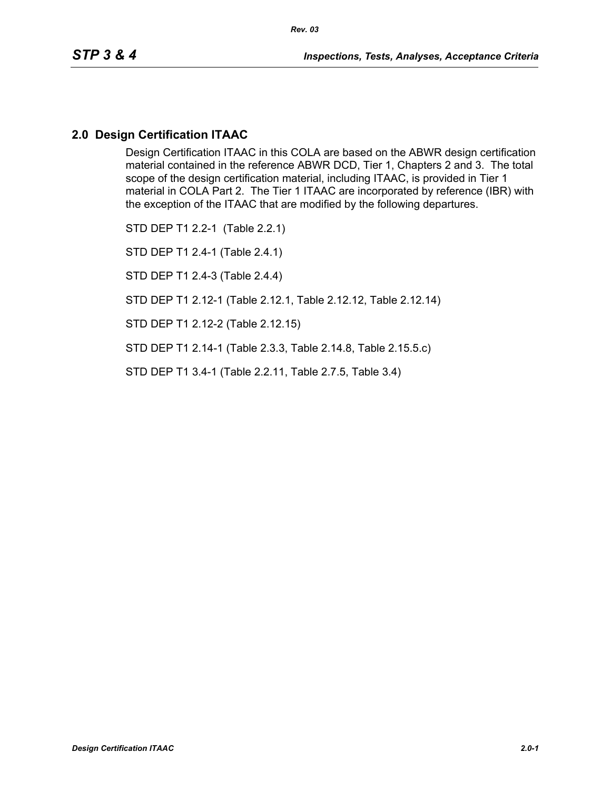Design Certification ITAAC in this COLA are based on the ABWR design certification material contained in the reference ABWR DCD, Tier 1, Chapters 2 and 3. The total scope of the design certification material, including ITAAC, is provided in Tier 1 material in COLA Part 2. The Tier 1 ITAAC are incorporated by reference (IBR) with the exception of the ITAAC that are modified by the following departures.

STD DEP T1 2.2-1 (Table 2.2.1) STD DEP T1 2.4-1 (Table 2.4.1) STD DEP T1 2.4-3 (Table 2.4.4) STD DEP T1 2.12-1 (Table 2.12.1, Table 2.12.12, Table 2.12.14)

STD DEP T1 2.12-2 (Table 2.12.15)

STD DEP T1 2.14-1 (Table 2.3.3, Table 2.14.8, Table 2.15.5.c)

STD DEP T1 3.4-1 (Table 2.2.11, Table 2.7.5, Table 3.4)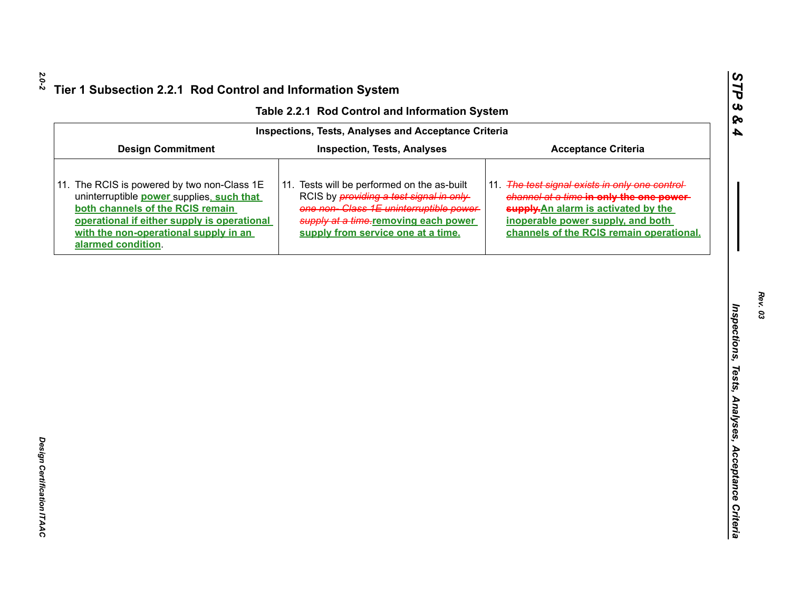| Table 2.2.1 Rod Control and Information System |  |  |  |  |
|------------------------------------------------|--|--|--|--|
|------------------------------------------------|--|--|--|--|

|                                                                                                                                                                                                                                            | Table 2.2.1 Rod Control and Information System                                                                                                                                                                         |                                                                                                                                                                                                                      |
|--------------------------------------------------------------------------------------------------------------------------------------------------------------------------------------------------------------------------------------------|------------------------------------------------------------------------------------------------------------------------------------------------------------------------------------------------------------------------|----------------------------------------------------------------------------------------------------------------------------------------------------------------------------------------------------------------------|
|                                                                                                                                                                                                                                            | <b>Inspections, Tests, Analyses and Acceptance Criteria</b>                                                                                                                                                            |                                                                                                                                                                                                                      |
| <b>Design Commitment</b>                                                                                                                                                                                                                   | <b>Inspection, Tests, Analyses</b>                                                                                                                                                                                     | <b>Acceptance Criteria</b>                                                                                                                                                                                           |
| 11. The RCIS is powered by two non-Class 1E<br>uninterruptible power supplies, such that<br>both channels of the RCIS remain<br>operational if either supply is operational<br>with the non-operational supply in an<br>alarmed condition. | 11. Tests will be performed on the as-built<br>RCIS by <i>providing a test signal in only</i><br>one non-Class 1E uninterruptible power-<br>supply at a time-removing each power<br>supply from service one at a time. | 11. The test signal exists in only one control-<br>channel at a time-in only the one power-<br>supply. An alarm is activated by the<br>inoperable power supply, and both<br>channels of the RCIS remain operational. |
|                                                                                                                                                                                                                                            |                                                                                                                                                                                                                        |                                                                                                                                                                                                                      |
|                                                                                                                                                                                                                                            |                                                                                                                                                                                                                        |                                                                                                                                                                                                                      |
|                                                                                                                                                                                                                                            |                                                                                                                                                                                                                        |                                                                                                                                                                                                                      |
|                                                                                                                                                                                                                                            |                                                                                                                                                                                                                        |                                                                                                                                                                                                                      |
|                                                                                                                                                                                                                                            |                                                                                                                                                                                                                        |                                                                                                                                                                                                                      |
|                                                                                                                                                                                                                                            |                                                                                                                                                                                                                        |                                                                                                                                                                                                                      |
|                                                                                                                                                                                                                                            |                                                                                                                                                                                                                        |                                                                                                                                                                                                                      |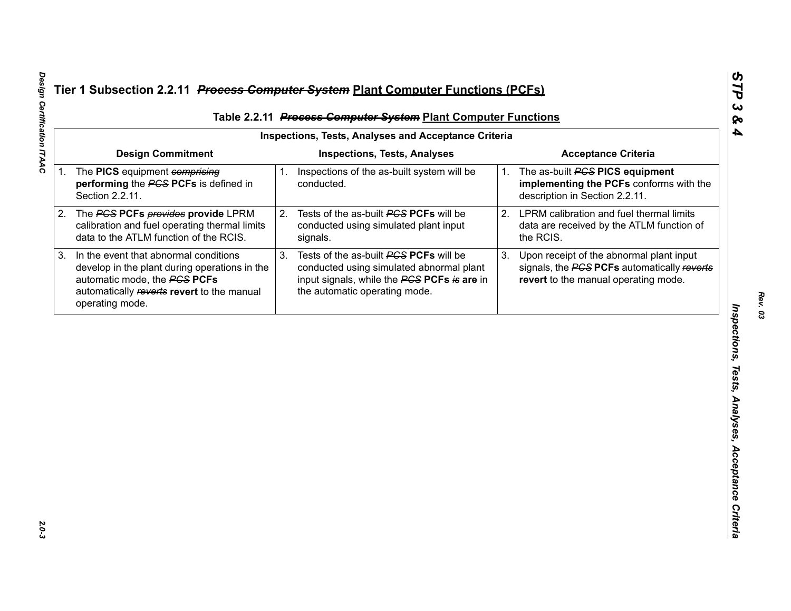|    |                                                                                                                                                                                         |    | Table 2.2.11 Process Computer System Plant Computer Functions                                                                                                      |    |                                                                                                                                                   |
|----|-----------------------------------------------------------------------------------------------------------------------------------------------------------------------------------------|----|--------------------------------------------------------------------------------------------------------------------------------------------------------------------|----|---------------------------------------------------------------------------------------------------------------------------------------------------|
|    |                                                                                                                                                                                         |    | <b>Inspections, Tests, Analyses and Acceptance Criteria</b>                                                                                                        |    |                                                                                                                                                   |
|    | <b>Design Commitment</b><br>1. The PICS equipment comprising<br>performing the PCS PCFs is defined in<br>Section 2.2.11.                                                                | 1. | <b>Inspections, Tests, Analyses</b><br>Inspections of the as-built system will be<br>conducted.                                                                    | 1. | <b>Acceptance Criteria</b><br>The as-built <b>PGS PICS equipment</b><br>implementing the PCFs conforms with the<br>description in Section 2.2.11. |
| 2. | The PGS PCFs provides provide LPRM<br>calibration and fuel operating thermal limits<br>data to the ATLM function of the RCIS.                                                           | 2. | Tests of the as-built PCS PCFs will be<br>conducted using simulated plant input<br>signals.                                                                        | 2. | LPRM calibration and fuel thermal limits<br>data are received by the ATLM function of<br>the RCIS.                                                |
| 3. | In the event that abnormal conditions<br>develop in the plant during operations in the<br>automatic mode, the PCS PCFs<br>automatically reverts revert to the manual<br>operating mode. | 3. | Tests of the as-built PCS PCFs will be<br>conducted using simulated abnormal plant<br>input signals, while the PCS PCFs is are in<br>the automatic operating mode. | 3. | Upon receipt of the abnormal plant input<br>signals, the PCS PCFs automatically reverts<br>revert to the manual operating mode.                   |
|    |                                                                                                                                                                                         |    |                                                                                                                                                                    |    |                                                                                                                                                   |
|    |                                                                                                                                                                                         |    |                                                                                                                                                                    |    |                                                                                                                                                   |
|    |                                                                                                                                                                                         |    |                                                                                                                                                                    |    |                                                                                                                                                   |
|    |                                                                                                                                                                                         |    |                                                                                                                                                                    |    |                                                                                                                                                   |
|    |                                                                                                                                                                                         |    |                                                                                                                                                                    |    |                                                                                                                                                   |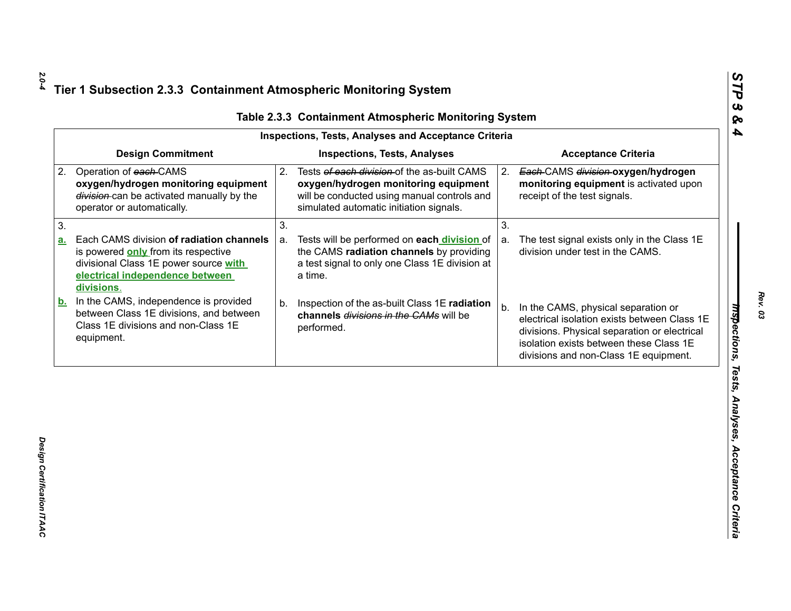| <b>Design Commitment</b><br><b>Inspections, Tests, Analyses</b><br><b>Acceptance Criteria</b><br>Operation of each CAMS<br>Tests of each division of the as-built CAMS<br>2.<br>Each-CAMS division-oxygen/hydrogen<br>2.<br>oxygen/hydrogen monitoring equipment<br>oxygen/hydrogen monitoring equipment<br>monitoring equipment is activated upon<br>division-can be activated manually by the<br>will be conducted using manual controls and<br>receipt of the test signals.<br>simulated automatic initiation signals.<br>operator or automatically.<br>3.<br>3.<br>Each CAMS division of radiation channels<br>Tests will be performed on each division of<br>The test signal exists only in the Class 1E<br>a.<br>a.<br>the CAMS radiation channels by providing<br>division under test in the CAMS.<br>is powered only from its respective<br>a test signal to only one Class 1E division at<br>divisional Class 1E power source with<br>electrical independence between<br>a time.<br>divisions.<br>In the CAMS, independence is provided |  |
|--------------------------------------------------------------------------------------------------------------------------------------------------------------------------------------------------------------------------------------------------------------------------------------------------------------------------------------------------------------------------------------------------------------------------------------------------------------------------------------------------------------------------------------------------------------------------------------------------------------------------------------------------------------------------------------------------------------------------------------------------------------------------------------------------------------------------------------------------------------------------------------------------------------------------------------------------------------------------------------------------------------------------------------------------|--|
| 2.                                                                                                                                                                                                                                                                                                                                                                                                                                                                                                                                                                                                                                                                                                                                                                                                                                                                                                                                                                                                                                               |  |
| 3.<br><u>a.</u><br><u>b.</u>                                                                                                                                                                                                                                                                                                                                                                                                                                                                                                                                                                                                                                                                                                                                                                                                                                                                                                                                                                                                                     |  |
|                                                                                                                                                                                                                                                                                                                                                                                                                                                                                                                                                                                                                                                                                                                                                                                                                                                                                                                                                                                                                                                  |  |
|                                                                                                                                                                                                                                                                                                                                                                                                                                                                                                                                                                                                                                                                                                                                                                                                                                                                                                                                                                                                                                                  |  |
| Inspection of the as-built Class 1E radiation<br>b.<br>In the CAMS, physical separation or<br>b.<br>between Class 1E divisions, and between<br>channels divisions in the CAMs will be<br>electrical isolation exists between Class 1E<br>Class 1E divisions and non-Class 1E<br>performed.<br>divisions. Physical separation or electrical<br>equipment.<br>isolation exists between these Class 1E<br>divisions and non-Class 1E equipment.                                                                                                                                                                                                                                                                                                                                                                                                                                                                                                                                                                                                     |  |

*STP 3 & 4*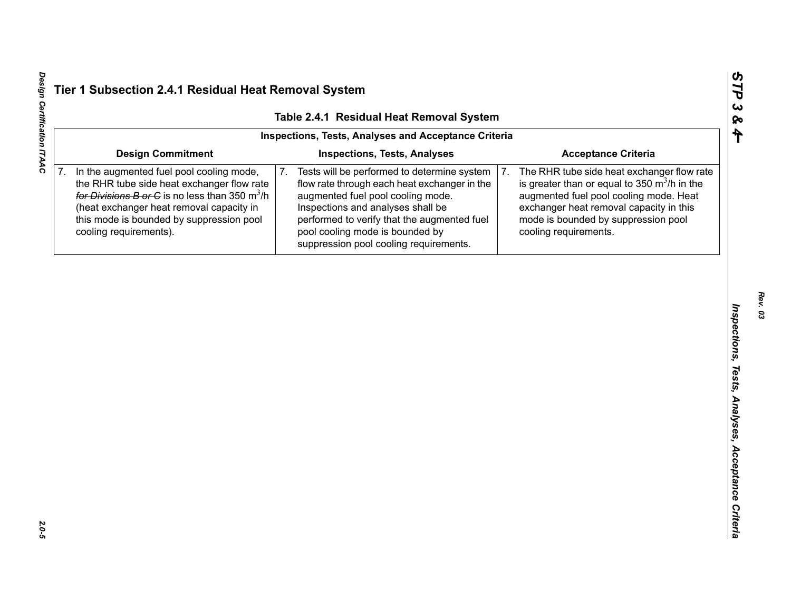|    |                                                                                                                                                                                                                                                              | Table 2.4.1 Residual Heat Removal System<br>Inspections, Tests, Analyses and Acceptance Criteria                                                                                                                                                                                                        |                                                                                                                                                                                                                                                         |
|----|--------------------------------------------------------------------------------------------------------------------------------------------------------------------------------------------------------------------------------------------------------------|---------------------------------------------------------------------------------------------------------------------------------------------------------------------------------------------------------------------------------------------------------------------------------------------------------|---------------------------------------------------------------------------------------------------------------------------------------------------------------------------------------------------------------------------------------------------------|
|    | <b>Design Commitment</b>                                                                                                                                                                                                                                     | <b>Inspections, Tests, Analyses</b>                                                                                                                                                                                                                                                                     | <b>Acceptance Criteria</b>                                                                                                                                                                                                                              |
| 7. | In the augmented fuel pool cooling mode,<br>the RHR tube side heat exchanger flow rate<br>for Divisions B or C is no less than 350 $m^3/h$<br>(heat exchanger heat removal capacity in<br>this mode is bounded by suppression pool<br>cooling requirements). | 7.<br>Tests will be performed to determine system<br>flow rate through each heat exchanger in the<br>augmented fuel pool cooling mode.<br>Inspections and analyses shall be<br>performed to verify that the augmented fuel<br>pool cooling mode is bounded by<br>suppression pool cooling requirements. | The RHR tube side heat exchanger flow rate<br>7.<br>is greater than or equal to 350 $m^3/h$ in the<br>augmented fuel pool cooling mode. Heat<br>exchanger heat removal capacity in this<br>mode is bounded by suppression pool<br>cooling requirements. |
|    |                                                                                                                                                                                                                                                              |                                                                                                                                                                                                                                                                                                         |                                                                                                                                                                                                                                                         |
|    |                                                                                                                                                                                                                                                              |                                                                                                                                                                                                                                                                                                         |                                                                                                                                                                                                                                                         |
|    |                                                                                                                                                                                                                                                              |                                                                                                                                                                                                                                                                                                         |                                                                                                                                                                                                                                                         |
|    |                                                                                                                                                                                                                                                              |                                                                                                                                                                                                                                                                                                         |                                                                                                                                                                                                                                                         |
|    |                                                                                                                                                                                                                                                              |                                                                                                                                                                                                                                                                                                         |                                                                                                                                                                                                                                                         |
|    |                                                                                                                                                                                                                                                              |                                                                                                                                                                                                                                                                                                         |                                                                                                                                                                                                                                                         |
|    |                                                                                                                                                                                                                                                              |                                                                                                                                                                                                                                                                                                         |                                                                                                                                                                                                                                                         |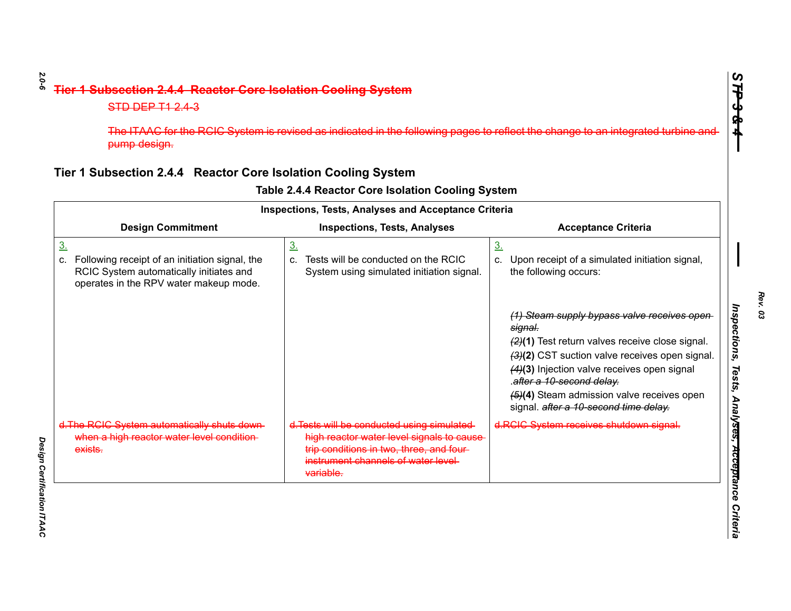| pump design.                                                                                                                                           |                                                                                                                                                                                         | The ITAAC for the RCIC System is revised as indicated in the following pages to reflect the change to an integrated turbine and                                                                                                                                                                                                |
|--------------------------------------------------------------------------------------------------------------------------------------------------------|-----------------------------------------------------------------------------------------------------------------------------------------------------------------------------------------|--------------------------------------------------------------------------------------------------------------------------------------------------------------------------------------------------------------------------------------------------------------------------------------------------------------------------------|
| Tier 1 Subsection 2.4.4 Reactor Core Isolation Cooling System                                                                                          |                                                                                                                                                                                         |                                                                                                                                                                                                                                                                                                                                |
|                                                                                                                                                        | Table 2.4.4 Reactor Core Isolation Cooling System<br><b>Inspections, Tests, Analyses and Acceptance Criteria</b>                                                                        |                                                                                                                                                                                                                                                                                                                                |
| <b>Design Commitment</b>                                                                                                                               | <b>Inspections, Tests, Analyses</b>                                                                                                                                                     | <b>Acceptance Criteria</b>                                                                                                                                                                                                                                                                                                     |
| <u>3.</u><br>Following receipt of an initiation signal, the<br>c.<br>RCIC System automatically initiates and<br>operates in the RPV water makeup mode. | 3 <sub>1</sub><br>Tests will be conducted on the RCIC<br>C.<br>System using simulated initiation signal.                                                                                | 3.<br>Upon receipt of a simulated initiation signal,<br>C.<br>the following occurs:                                                                                                                                                                                                                                            |
|                                                                                                                                                        |                                                                                                                                                                                         | (1) Steam supply bypass valve receives open<br>signal.<br>(2)(1) Test return valves receive close signal.<br>(3)(2) CST suction valve receives open signal.<br>(4)(3) Injection valve receives open signal<br>.after a 10-second delay.<br>(5)(4) Steam admission valve receives open<br>signal. after a 10-second time delay. |
| d. The RCIC System automatically shuts down-<br>when a high reactor water level condition-<br>exists.                                                  | d. Tests will be conducted using simulated<br>high reactor water level signals to cause<br>trip conditions in two, three, and four-<br>instrument channels of water level-<br>variable. | d.RCIC System receives shutdown signal.                                                                                                                                                                                                                                                                                        |

Design Certification ITAAC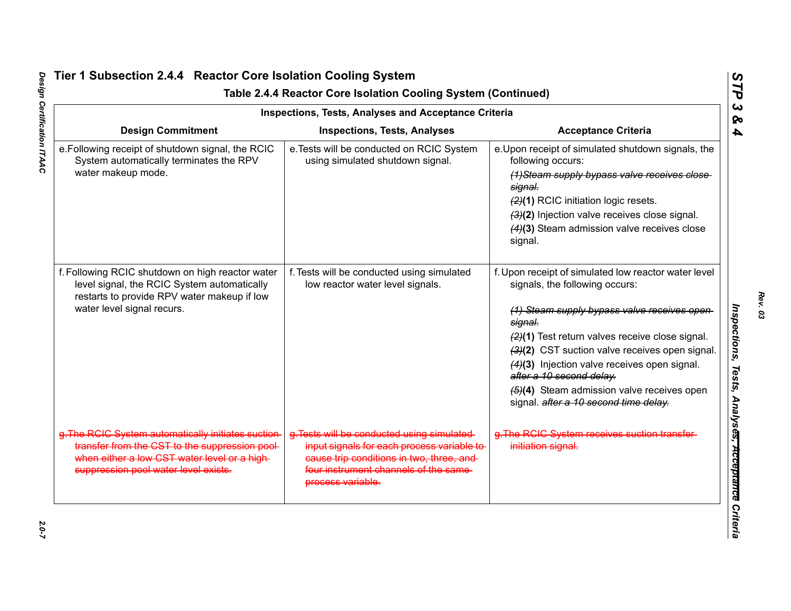|                                                                                                                                                                                              | <b>Inspections, Tests, Analyses and Acceptance Criteria</b>                                                                                                                                        |                                                                                                                                                                                                                                                                                                                                                                                                                          |
|----------------------------------------------------------------------------------------------------------------------------------------------------------------------------------------------|----------------------------------------------------------------------------------------------------------------------------------------------------------------------------------------------------|--------------------------------------------------------------------------------------------------------------------------------------------------------------------------------------------------------------------------------------------------------------------------------------------------------------------------------------------------------------------------------------------------------------------------|
| <b>Design Commitment</b>                                                                                                                                                                     | <b>Inspections, Tests, Analyses</b>                                                                                                                                                                | <b>Acceptance Criteria</b>                                                                                                                                                                                                                                                                                                                                                                                               |
| e. Following receipt of shutdown signal, the RCIC<br>System automatically terminates the RPV<br>water makeup mode.                                                                           | e. Tests will be conducted on RCIC System<br>using simulated shutdown signal.                                                                                                                      | e. Upon receipt of simulated shutdown signals, the<br>following occurs:<br>(1) Steam supply bypass valve receives close<br>signal.<br>(2)(1) RCIC initiation logic resets.<br>(3)(2) Injection valve receives close signal.<br>(4)(3) Steam admission valve receives close<br>signal.                                                                                                                                    |
| f. Following RCIC shutdown on high reactor water<br>level signal, the RCIC System automatically<br>restarts to provide RPV water makeup if low<br>water level signal recurs.                 | f. Tests will be conducted using simulated<br>low reactor water level signals.                                                                                                                     | f. Upon receipt of simulated low reactor water level<br>signals, the following occurs:<br>(1) Steam supply bypass valve receives open<br>signal.<br>(2)(1) Test return valves receive close signal.<br>(3)(2) CST suction valve receives open signal.<br>(4)(3) Injection valve receives open signal.<br>after a 10 second delay.<br>(5)(4) Steam admission valve receives open<br>signal. after a 10 second time delay. |
| g. The RCIC System automatically initiates suction<br>transfer from the CST to the suppression pool-<br>when either a low CST water level or a high-<br>suppression pool water level exists. | g. Tests will be conducted using simulated<br>input signals for each process variable to<br>cause trip conditions in two, three, and-<br>four instrument channels of the same<br>process variable. | g. The RCIC System receives suction transfer-<br>initiation signal.                                                                                                                                                                                                                                                                                                                                                      |

# Design Certification ITAAC *Design Certification ITAAC 2.0-7*

*Rev. 03*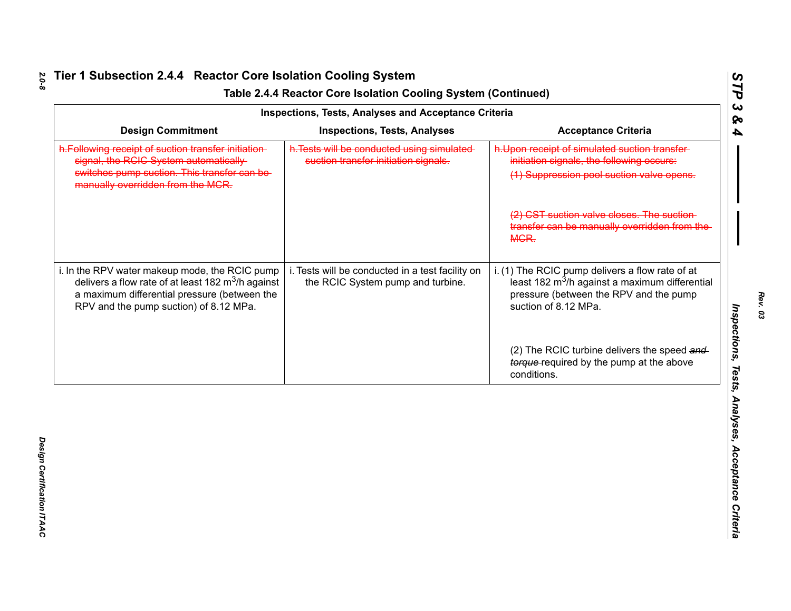|                                                                                                                                                                                                          | <b>Inspections, Tests, Analyses and Acceptance Criteria</b>                           |                                                                                                                                                                                 |
|----------------------------------------------------------------------------------------------------------------------------------------------------------------------------------------------------------|---------------------------------------------------------------------------------------|---------------------------------------------------------------------------------------------------------------------------------------------------------------------------------|
| <b>Design Commitment</b>                                                                                                                                                                                 | <b>Inspections, Tests, Analyses</b>                                                   | <b>Acceptance Criteria</b>                                                                                                                                                      |
| h. Following receipt of suction transfer initiation-<br>signal, the RCIC System automatically<br>switches pump suction. This transfer can be-<br>manually overridden from the MCR.                       | h. Tests will be conducted using simulated-<br>suction transfer initiation signals.   | h.Upon receipt of simulated suction transfer-<br>initiation signals, the following occurs:<br>(1) Suppression pool suction valve opens.                                         |
|                                                                                                                                                                                                          |                                                                                       | (2) CST suction valve closes. The suction<br>transfer can be manually overridden from the<br>MGR.                                                                               |
| i. In the RPV water makeup mode, the RCIC pump<br>delivers a flow rate of at least 182 $\text{m}^3$ /h against<br>a maximum differential pressure (between the<br>RPV and the pump suction) of 8.12 MPa. | i. Tests will be conducted in a test facility on<br>the RCIC System pump and turbine. | i. (1) The RCIC pump delivers a flow rate of at<br>least 182 m <sup>3</sup> /h against a maximum differential<br>pressure (between the RPV and the pump<br>suction of 8.12 MPa. |
|                                                                                                                                                                                                          |                                                                                       | (2) The RCIC turbine delivers the speed and<br>torque-required by the pump at the above<br>conditions.                                                                          |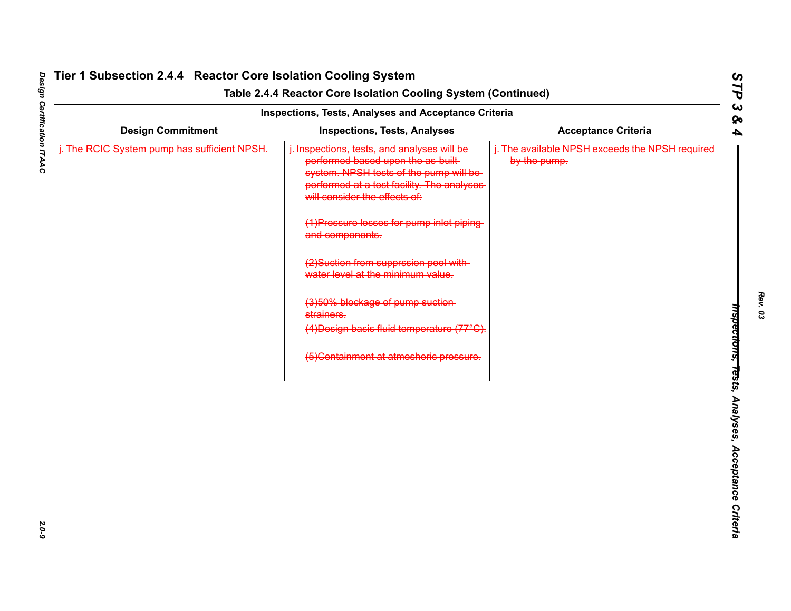|                                              | <b>Inspections, Tests, Analyses and Acceptance Criteria</b>                                                                                                                                                 |                                                                 |
|----------------------------------------------|-------------------------------------------------------------------------------------------------------------------------------------------------------------------------------------------------------------|-----------------------------------------------------------------|
| <b>Design Commitment</b>                     | <b>Inspections, Tests, Analyses</b>                                                                                                                                                                         | <b>Acceptance Criteria</b>                                      |
| j. The RCIC System pump has sufficient NPSH. | j. Inspections, tests, and analyses will be-<br>performed based upon the as built-<br>system. NPSH tests of the pump will be<br>performed at a test facility. The analyses<br>will consider the effects of: | i. The available NPSH exceeds the NPSH required<br>by the pump. |
|                                              | (1) Pressure losses for pump inlet piping<br>and components.                                                                                                                                                |                                                                 |
|                                              | (2) Suction from supprssion pool with-<br>water level at the minimum value.                                                                                                                                 |                                                                 |
|                                              | (3)50% blockage of pump suction-<br>strainers.                                                                                                                                                              |                                                                 |
|                                              | (4) Design basis fluid temperature (77°C).                                                                                                                                                                  |                                                                 |
|                                              | (5) Containment at atmosheric pressure.                                                                                                                                                                     |                                                                 |
|                                              |                                                                                                                                                                                                             |                                                                 |
|                                              |                                                                                                                                                                                                             |                                                                 |
|                                              |                                                                                                                                                                                                             |                                                                 |
|                                              |                                                                                                                                                                                                             |                                                                 |
|                                              |                                                                                                                                                                                                             |                                                                 |
|                                              |                                                                                                                                                                                                             |                                                                 |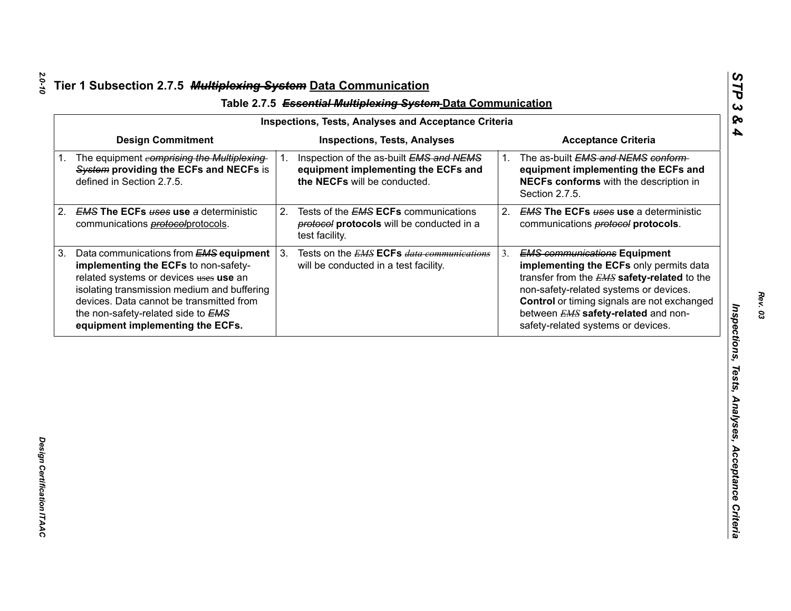| <b>Design Commitment</b><br><b>Inspections, Tests, Analyses</b><br><b>Acceptance Criteria</b><br>The equipment comprising the Multiplexing<br>The as-built EMS and NEMS conform<br>Inspection of the as-built EMS and NEMS<br>1.<br>1.<br>System providing the ECFs and NECFs is<br>equipment implementing the ECFs and<br>defined in Section 2.7.5.<br>the NECFs will be conducted.<br>Section 2.7.5.<br><b>EMS The ECFs uses use a deterministic</b><br>Tests of the <b>EMS ECFs</b> communications<br>2.<br>2.<br>communications <b>protocol</b> protocols.<br>protocol protocols will be conducted in a<br>communications <b>protocol</b> protocols.<br>test facility.<br>3 <sub>1</sub><br>Data communications from EMS equipment<br>Tests on the EMS ECFs data communications<br><b>EMS communications Equipment</b><br>3.<br>implementing the ECFs to non-safety-<br>will be conducted in a test facility.<br>related systems or devices uses use an<br>isolating transmission medium and buffering<br>non-safety-related systems or devices. | equipment implementing the ECFs and<br>NECFs conforms with the description in<br><b>EMS The ECFs uses use a deterministic</b><br>devices. Data cannot be transmitted from<br>the non-safety-related side to EMS<br>between <b>EMS</b> safety-related and non-<br>safety-related systems or devices.<br>equipment implementing the ECFs. | <b>Inspections, Tests, Analyses and Acceptance Criteria</b> |                                                                                                                                       |
|------------------------------------------------------------------------------------------------------------------------------------------------------------------------------------------------------------------------------------------------------------------------------------------------------------------------------------------------------------------------------------------------------------------------------------------------------------------------------------------------------------------------------------------------------------------------------------------------------------------------------------------------------------------------------------------------------------------------------------------------------------------------------------------------------------------------------------------------------------------------------------------------------------------------------------------------------------------------------------------------------------------------------------------------------|-----------------------------------------------------------------------------------------------------------------------------------------------------------------------------------------------------------------------------------------------------------------------------------------------------------------------------------------|-------------------------------------------------------------|---------------------------------------------------------------------------------------------------------------------------------------|
| 1.<br>2.<br>3.                                                                                                                                                                                                                                                                                                                                                                                                                                                                                                                                                                                                                                                                                                                                                                                                                                                                                                                                                                                                                                       |                                                                                                                                                                                                                                                                                                                                         |                                                             |                                                                                                                                       |
|                                                                                                                                                                                                                                                                                                                                                                                                                                                                                                                                                                                                                                                                                                                                                                                                                                                                                                                                                                                                                                                      |                                                                                                                                                                                                                                                                                                                                         |                                                             |                                                                                                                                       |
|                                                                                                                                                                                                                                                                                                                                                                                                                                                                                                                                                                                                                                                                                                                                                                                                                                                                                                                                                                                                                                                      |                                                                                                                                                                                                                                                                                                                                         |                                                             |                                                                                                                                       |
|                                                                                                                                                                                                                                                                                                                                                                                                                                                                                                                                                                                                                                                                                                                                                                                                                                                                                                                                                                                                                                                      |                                                                                                                                                                                                                                                                                                                                         |                                                             | implementing the ECFs only permits data<br>transfer from the EMS safety-related to the<br>Control or timing signals are not exchanged |
|                                                                                                                                                                                                                                                                                                                                                                                                                                                                                                                                                                                                                                                                                                                                                                                                                                                                                                                                                                                                                                                      |                                                                                                                                                                                                                                                                                                                                         |                                                             |                                                                                                                                       |
|                                                                                                                                                                                                                                                                                                                                                                                                                                                                                                                                                                                                                                                                                                                                                                                                                                                                                                                                                                                                                                                      |                                                                                                                                                                                                                                                                                                                                         |                                                             |                                                                                                                                       |
|                                                                                                                                                                                                                                                                                                                                                                                                                                                                                                                                                                                                                                                                                                                                                                                                                                                                                                                                                                                                                                                      |                                                                                                                                                                                                                                                                                                                                         |                                                             |                                                                                                                                       |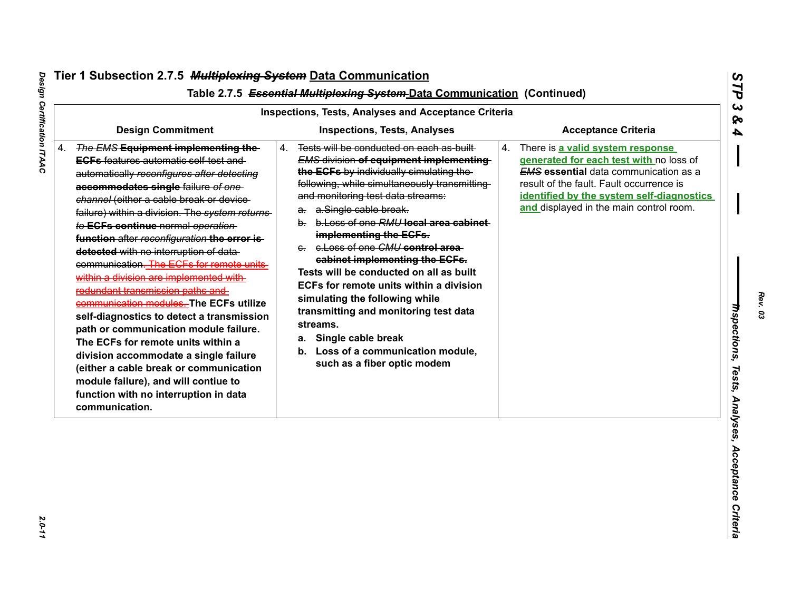| <b>Design Commitment</b><br>The EMS Equipment implementing the<br><b>ECFs</b> features automatic self-test and                                                                                                                                                                                                                                                                                                                                                                                                                                                                                                                                                                                                                                                                                          | <b>Inspections, Tests, Analyses</b><br>Tests will be conducted on each as-built-<br>4.                                                                                                                                                                                                                                                                                                                                                                                                                                                                                                                                              | <b>Acceptance Criteria</b><br>There is a valid system response<br>4.                                                                                                                                                        |
|---------------------------------------------------------------------------------------------------------------------------------------------------------------------------------------------------------------------------------------------------------------------------------------------------------------------------------------------------------------------------------------------------------------------------------------------------------------------------------------------------------------------------------------------------------------------------------------------------------------------------------------------------------------------------------------------------------------------------------------------------------------------------------------------------------|-------------------------------------------------------------------------------------------------------------------------------------------------------------------------------------------------------------------------------------------------------------------------------------------------------------------------------------------------------------------------------------------------------------------------------------------------------------------------------------------------------------------------------------------------------------------------------------------------------------------------------------|-----------------------------------------------------------------------------------------------------------------------------------------------------------------------------------------------------------------------------|
|                                                                                                                                                                                                                                                                                                                                                                                                                                                                                                                                                                                                                                                                                                                                                                                                         |                                                                                                                                                                                                                                                                                                                                                                                                                                                                                                                                                                                                                                     |                                                                                                                                                                                                                             |
| automatically reconfigures after detecting<br>accommodates single failure of one<br>channel (either a cable break or device-<br>failure) within a division. The system returns-<br>to ECFs continue normal operation<br>function after reconfiguration the error is-<br>detected with no interruption of data-<br>communication. The ECFs for remote units-<br>within a division are implemented with-<br>redundant transmission paths and<br>communication modules. The ECFs utilize<br>self-diagnostics to detect a transmission<br>path or communication module failure.<br>The ECFs for remote units within a<br>division accommodate a single failure<br>(either a cable break or communication<br>module failure), and will contiue to<br>function with no interruption in data<br>communication. | <b>EMS division of equipment implementing</b><br>the ECFs by individually simulating the<br>following, while simultaneously transmitting<br>and monitoring test data streams:<br>a. a.Single cable break.<br>b. b. Loss of one RMU local area cabinet<br>implementing the ECFs.<br>e. e. Loss of one CMU control area-<br>cabinet implementing the ECFs.<br>Tests will be conducted on all as built<br>ECFs for remote units within a division<br>simulating the following while<br>transmitting and monitoring test data<br>streams.<br>a. Single cable break<br>b. Loss of a communication module,<br>such as a fiber optic modem | generated for each test with no loss of<br><b>EMS</b> essential data communication as a<br>result of the fault. Fault occurrence is<br>identified by the system self-diagnostics<br>and displayed in the main control room. |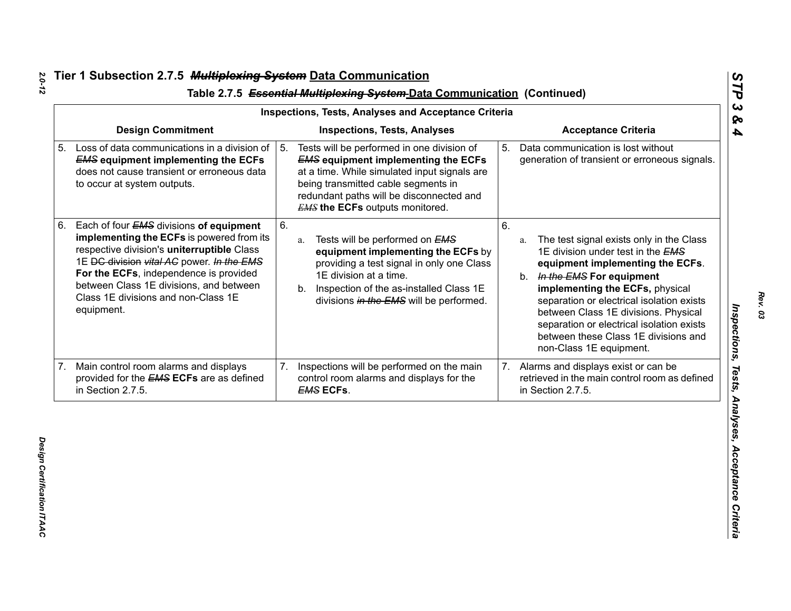|    |                                                                                                                                                                                                                                                                                                                           |    | Inspections, Tests, Analyses and Acceptance Criteria                                                                                                                                                                                                                  |    |                                                                                                                                                                                                                                                                                                                                                                                                   |
|----|---------------------------------------------------------------------------------------------------------------------------------------------------------------------------------------------------------------------------------------------------------------------------------------------------------------------------|----|-----------------------------------------------------------------------------------------------------------------------------------------------------------------------------------------------------------------------------------------------------------------------|----|---------------------------------------------------------------------------------------------------------------------------------------------------------------------------------------------------------------------------------------------------------------------------------------------------------------------------------------------------------------------------------------------------|
|    | <b>Design Commitment</b>                                                                                                                                                                                                                                                                                                  |    | <b>Inspections, Tests, Analyses</b>                                                                                                                                                                                                                                   |    | <b>Acceptance Criteria</b>                                                                                                                                                                                                                                                                                                                                                                        |
| 5. | Loss of data communications in a division of<br><b>EMS equipment implementing the ECFs</b><br>does not cause transient or erroneous data<br>to occur at system outputs.                                                                                                                                                   | 5. | Tests will be performed in one division of<br><b>EMS equipment implementing the ECFs</b><br>at a time. While simulated input signals are<br>being transmitted cable segments in<br>redundant paths will be disconnected and<br><b>EMS the ECFs</b> outputs monitored. | 5. | Data communication is lost without<br>generation of transient or erroneous signals.                                                                                                                                                                                                                                                                                                               |
| 6. | Each of four EMS divisions of equipment<br>implementing the ECFs is powered from its<br>respective division's uniterruptible Class<br>1E DC division vital AC power. In the EMS<br>For the ECFs, independence is provided<br>between Class 1E divisions, and between<br>Class 1E divisions and non-Class 1E<br>equipment. | 6. | Tests will be performed on EMS<br>a.<br>equipment implementing the ECFs by<br>providing a test signal in only one Class<br>1E division at a time.<br>Inspection of the as-installed Class 1E<br>b.<br>divisions in the EMS will be performed.                         | 6. | The test signal exists only in the Class<br>a.<br>1E division under test in the EMS<br>equipment implementing the ECFs.<br>In the EMS For equipment<br>b.<br>implementing the ECFs, physical<br>separation or electrical isolation exists<br>between Class 1E divisions. Physical<br>separation or electrical isolation exists<br>between these Class 1E divisions and<br>non-Class 1E equipment. |
|    | 7. Main control room alarms and displays<br>provided for the <b>EMS ECFs</b> are as defined<br>in Section 2.7.5.                                                                                                                                                                                                          | 7. | Inspections will be performed on the main<br>control room alarms and displays for the<br><b>EMS ECFS.</b>                                                                                                                                                             | 7. | Alarms and displays exist or can be<br>retrieved in the main control room as defined<br>in Section 2.7.5.                                                                                                                                                                                                                                                                                         |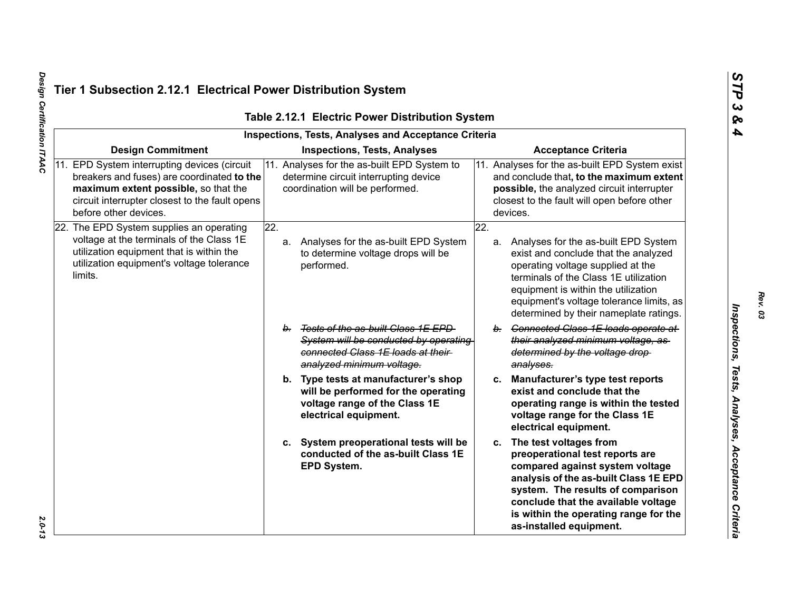|                                                                                                                                                                                                               | Table 2.12.1 Electric Power Distribution System<br><b>Inspections, Tests, Analyses and Acceptance Criteria</b>                                           |                                                                                                                                                                                                                                                                                                      |
|---------------------------------------------------------------------------------------------------------------------------------------------------------------------------------------------------------------|----------------------------------------------------------------------------------------------------------------------------------------------------------|------------------------------------------------------------------------------------------------------------------------------------------------------------------------------------------------------------------------------------------------------------------------------------------------------|
| <b>Design Commitment</b>                                                                                                                                                                                      | <b>Inspections, Tests, Analyses</b>                                                                                                                      | <b>Acceptance Criteria</b>                                                                                                                                                                                                                                                                           |
| 11. EPD System interrupting devices (circuit<br>breakers and fuses) are coordinated to the<br>maximum extent possible, so that the<br>circuit interrupter closest to the fault opens<br>before other devices. | 11. Analyses for the as-built EPD System to<br>determine circuit interrupting device<br>coordination will be performed.                                  | 11. Analyses for the as-built EPD System exist<br>and conclude that, to the maximum extent<br>possible, the analyzed circuit interrupter<br>closest to the fault will open before other<br>devices.                                                                                                  |
| 22. The EPD System supplies an operating<br>voltage at the terminals of the Class 1E<br>utilization equipment that is within the<br>utilization equipment's voltage tolerance<br>limits.                      | 22.<br>a. Analyses for the as-built EPD System<br>to determine voltage drops will be<br>performed.                                                       | 22.<br>Analyses for the as-built EPD System<br>а.<br>exist and conclude that the analyzed<br>operating voltage supplied at the<br>terminals of the Class 1E utilization<br>equipment is within the utilization<br>equipment's voltage tolerance limits, as<br>determined by their nameplate ratings. |
|                                                                                                                                                                                                               | Tests of the as-built Class 1E EPD<br>$b_{-}$<br>System will be conducted by operating<br>connected Class 1E loads at their<br>analyzed minimum voltage. | b. Connected Class 1E loads operate at<br>their analyzed minimum voltage, as-<br>determined by the voltage drop-<br>analyses.                                                                                                                                                                        |
|                                                                                                                                                                                                               | b. Type tests at manufacturer's shop<br>will be performed for the operating<br>voltage range of the Class 1E<br>electrical equipment.                    | Manufacturer's type test reports<br>C.<br>exist and conclude that the<br>operating range is within the tested<br>voltage range for the Class 1E<br>electrical equipment.                                                                                                                             |
|                                                                                                                                                                                                               | System preoperational tests will be<br>conducted of the as-built Class 1E<br>EPD System.                                                                 | The test voltages from<br>C.<br>preoperational test reports are<br>compared against system voltage<br>analysis of the as-built Class 1E EPD<br>system. The results of comparison<br>conclude that the available voltage<br>is within the operating range for the<br>as-installed equipment.          |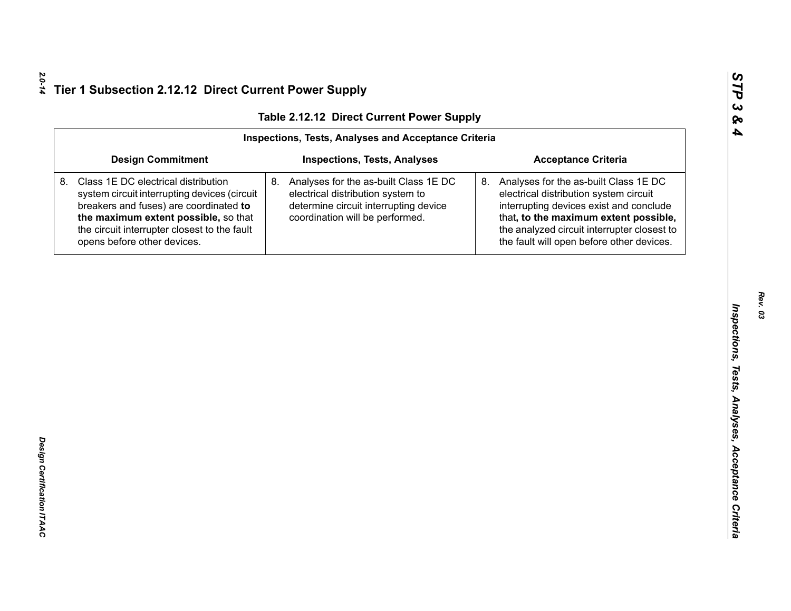| <b>Inspections, Tests, Analyses and Acceptance Criteria</b>                                                                                                                                                                                          |                                                                                                                                                           |                                                                                                                                                                                                                                                                       |  |  |
|------------------------------------------------------------------------------------------------------------------------------------------------------------------------------------------------------------------------------------------------------|-----------------------------------------------------------------------------------------------------------------------------------------------------------|-----------------------------------------------------------------------------------------------------------------------------------------------------------------------------------------------------------------------------------------------------------------------|--|--|
| <b>Design Commitment</b><br><b>Inspections, Tests, Analyses</b><br><b>Acceptance Criteria</b>                                                                                                                                                        |                                                                                                                                                           |                                                                                                                                                                                                                                                                       |  |  |
| Class 1E DC electrical distribution<br>system circuit interrupting devices (circuit<br>breakers and fuses) are coordinated to<br>the maximum extent possible, so that<br>the circuit interrupter closest to the fault<br>opens before other devices. | 8. Analyses for the as-built Class 1E DC<br>electrical distribution system to<br>determine circuit interrupting device<br>coordination will be performed. | Analyses for the as-built Class 1E DC<br>8.<br>electrical distribution system circuit<br>interrupting devices exist and conclude<br>that, to the maximum extent possible,<br>the analyzed circuit interrupter closest to<br>the fault will open before other devices. |  |  |
|                                                                                                                                                                                                                                                      |                                                                                                                                                           |                                                                                                                                                                                                                                                                       |  |  |
|                                                                                                                                                                                                                                                      |                                                                                                                                                           |                                                                                                                                                                                                                                                                       |  |  |
|                                                                                                                                                                                                                                                      |                                                                                                                                                           |                                                                                                                                                                                                                                                                       |  |  |
|                                                                                                                                                                                                                                                      |                                                                                                                                                           |                                                                                                                                                                                                                                                                       |  |  |
|                                                                                                                                                                                                                                                      |                                                                                                                                                           |                                                                                                                                                                                                                                                                       |  |  |
|                                                                                                                                                                                                                                                      |                                                                                                                                                           |                                                                                                                                                                                                                                                                       |  |  |
|                                                                                                                                                                                                                                                      |                                                                                                                                                           |                                                                                                                                                                                                                                                                       |  |  |
|                                                                                                                                                                                                                                                      |                                                                                                                                                           |                                                                                                                                                                                                                                                                       |  |  |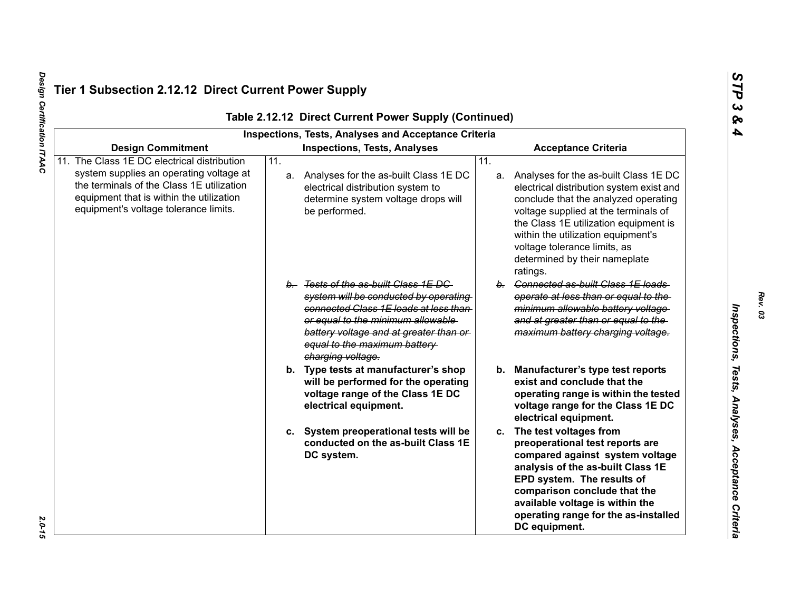| Table 2.12.12 Direct Current Power Supply (Continued)<br>Inspections, Tests, Analyses and Acceptance Criteria                                                                                                            |                   |                                                                                                                                                                                                                                                             |                   |                                                                                                                                                                                                                                                                                                                                  |
|--------------------------------------------------------------------------------------------------------------------------------------------------------------------------------------------------------------------------|-------------------|-------------------------------------------------------------------------------------------------------------------------------------------------------------------------------------------------------------------------------------------------------------|-------------------|----------------------------------------------------------------------------------------------------------------------------------------------------------------------------------------------------------------------------------------------------------------------------------------------------------------------------------|
| <b>Design Commitment</b>                                                                                                                                                                                                 |                   | <b>Inspections, Tests, Analyses</b>                                                                                                                                                                                                                         |                   | <b>Acceptance Criteria</b>                                                                                                                                                                                                                                                                                                       |
| 11. The Class 1E DC electrical distribution<br>system supplies an operating voltage at<br>the terminals of the Class 1E utilization<br>equipment that is within the utilization<br>equipment's voltage tolerance limits. | $\overline{11}$ . | a. Analyses for the as-built Class 1E DC<br>electrical distribution system to<br>determine system voltage drops will<br>be performed.                                                                                                                       | $\overline{11}$ . | a. Analyses for the as-built Class 1E DC<br>electrical distribution system exist and<br>conclude that the analyzed operating<br>voltage supplied at the terminals of<br>the Class 1E utilization equipment is<br>within the utilization equipment's<br>voltage tolerance limits, as<br>determined by their nameplate<br>ratings. |
|                                                                                                                                                                                                                          |                   | b. Tests of the as-built Class 1E DC<br>system will be conducted by operating<br>connected Class 1E loads at less than-<br>or equal to the minimum allowable<br>battery voltage and at greater than or<br>equal to the maximum battery<br>charging voltage. |                   | b. Connected as-built Class 1E loads<br>operate at less than or equal to the<br>minimum allowable battery voltage<br>and at greater than or equal to the<br>maximum battery charging voltage.                                                                                                                                    |
|                                                                                                                                                                                                                          |                   | b. Type tests at manufacturer's shop<br>will be performed for the operating<br>voltage range of the Class 1E DC<br>electrical equipment.                                                                                                                    |                   | b. Manufacturer's type test reports<br>exist and conclude that the<br>operating range is within the tested<br>voltage range for the Class 1E DC<br>electrical equipment.                                                                                                                                                         |
|                                                                                                                                                                                                                          |                   | c. System preoperational tests will be<br>conducted on the as-built Class 1E<br>DC system.                                                                                                                                                                  |                   | c. The test voltages from<br>preoperational test reports are<br>compared against system voltage<br>analysis of the as-built Class 1E<br>EPD system. The results of<br>comparison conclude that the<br>available voltage is within the<br>operating range for the as-installed<br>DC equipment.                                   |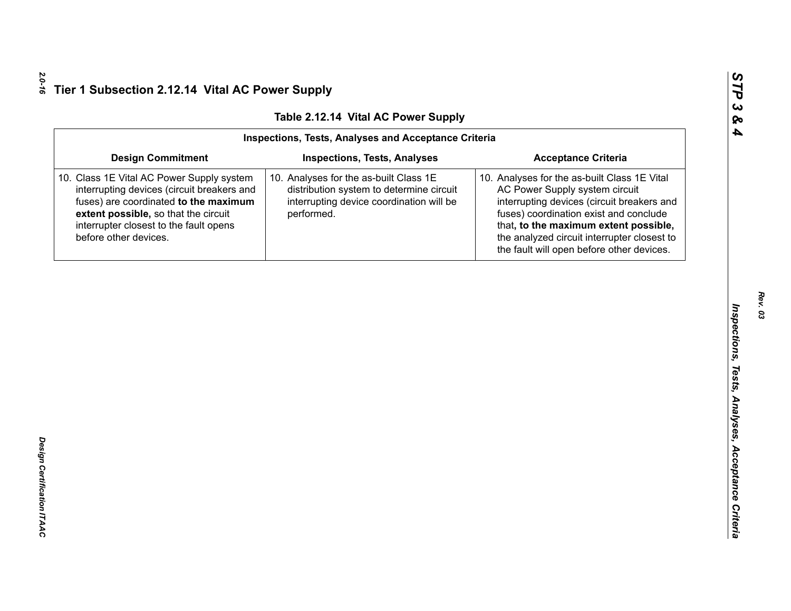| <b>Design Commitment</b><br><b>Acceptance Criteria</b><br><b>Inspections, Tests, Analyses</b><br>10. Analyses for the as-built Class 1E<br>10. Analyses for the as-built Class 1E Vital                    |                                                                                                                                                                                                                                                                                                                                                       |
|------------------------------------------------------------------------------------------------------------------------------------------------------------------------------------------------------------|-------------------------------------------------------------------------------------------------------------------------------------------------------------------------------------------------------------------------------------------------------------------------------------------------------------------------------------------------------|
| 10. Class 1E Vital AC Power Supply system                                                                                                                                                                  |                                                                                                                                                                                                                                                                                                                                                       |
| fuses) are coordinated to the maximum<br>interrupting device coordination will be<br>extent possible, so that the circuit<br>performed.<br>interrupter closest to the fault opens<br>before other devices. | interrupting devices (circuit breakers and<br>distribution system to determine circuit<br>AC Power Supply system circuit<br>interrupting devices (circuit breakers and<br>fuses) coordination exist and conclude<br>that, to the maximum extent possible,<br>the analyzed circuit interrupter closest to<br>the fault will open before other devices. |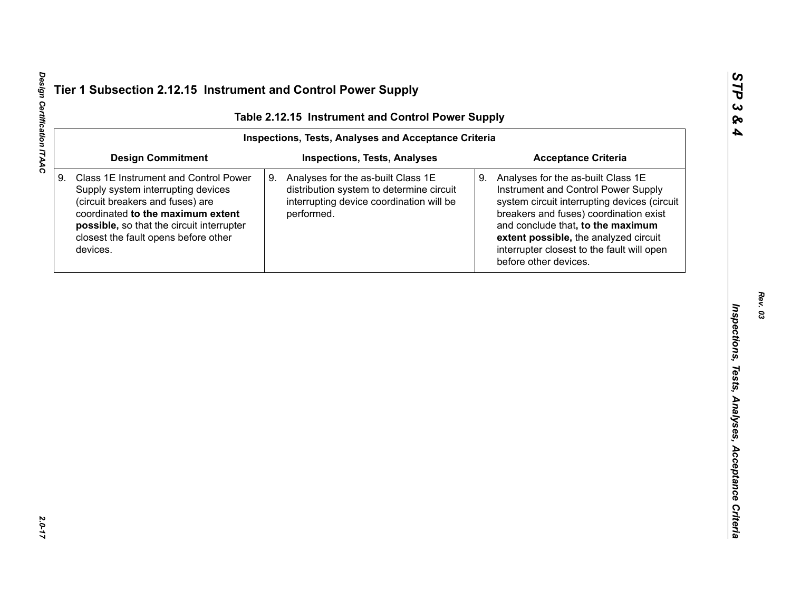| <b>Inspections, Tests, Analyses and Acceptance Criteria</b><br><b>Design Commitment</b><br><b>Acceptance Criteria</b><br><b>Inspections, Tests, Analyses</b><br>Class 1E Instrument and Control Power<br>Analyses for the as-built Class 1E<br>9. Analyses for the as-built Class 1E<br>9.<br>Instrument and Control Power Supply<br>Supply system interrupting devices<br>distribution system to determine circuit<br>(circuit breakers and fuses) are<br>interrupting device coordination will be<br>system circuit interrupting devices (circuit<br>coordinated to the maximum extent<br>performed.<br>breakers and fuses) coordination exist<br>possible, so that the circuit interrupter<br>and conclude that, to the maximum<br>closest the fault opens before other<br>extent possible, the analyzed circuit<br>interrupter closest to the fault will open<br>devices.<br>before other devices. | Table 2.12.15 Instrument and Control Power Supply |  |  |  |  |
|--------------------------------------------------------------------------------------------------------------------------------------------------------------------------------------------------------------------------------------------------------------------------------------------------------------------------------------------------------------------------------------------------------------------------------------------------------------------------------------------------------------------------------------------------------------------------------------------------------------------------------------------------------------------------------------------------------------------------------------------------------------------------------------------------------------------------------------------------------------------------------------------------------|---------------------------------------------------|--|--|--|--|
|                                                                                                                                                                                                                                                                                                                                                                                                                                                                                                                                                                                                                                                                                                                                                                                                                                                                                                        |                                                   |  |  |  |  |
|                                                                                                                                                                                                                                                                                                                                                                                                                                                                                                                                                                                                                                                                                                                                                                                                                                                                                                        |                                                   |  |  |  |  |
|                                                                                                                                                                                                                                                                                                                                                                                                                                                                                                                                                                                                                                                                                                                                                                                                                                                                                                        |                                                   |  |  |  |  |
|                                                                                                                                                                                                                                                                                                                                                                                                                                                                                                                                                                                                                                                                                                                                                                                                                                                                                                        |                                                   |  |  |  |  |
|                                                                                                                                                                                                                                                                                                                                                                                                                                                                                                                                                                                                                                                                                                                                                                                                                                                                                                        |                                                   |  |  |  |  |
|                                                                                                                                                                                                                                                                                                                                                                                                                                                                                                                                                                                                                                                                                                                                                                                                                                                                                                        |                                                   |  |  |  |  |
|                                                                                                                                                                                                                                                                                                                                                                                                                                                                                                                                                                                                                                                                                                                                                                                                                                                                                                        |                                                   |  |  |  |  |
|                                                                                                                                                                                                                                                                                                                                                                                                                                                                                                                                                                                                                                                                                                                                                                                                                                                                                                        |                                                   |  |  |  |  |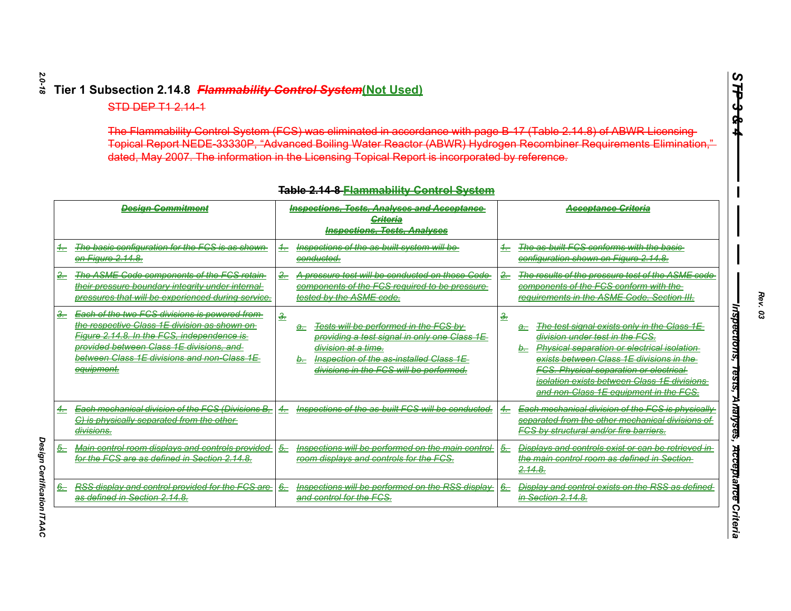| Topical Report NEDE 33330P, "Advanced Boiling Water Reactor (ABWR) Hydrogen Recombiner Requirements Elimination,"<br>dated, May 2007. The information in the Licensing Topical Report is incorporated by reference.                                                      |                                                                                                                                                                                                                                      |                                                                                                                                                                                                                                                                                                                                                    |  |  |  |
|--------------------------------------------------------------------------------------------------------------------------------------------------------------------------------------------------------------------------------------------------------------------------|--------------------------------------------------------------------------------------------------------------------------------------------------------------------------------------------------------------------------------------|----------------------------------------------------------------------------------------------------------------------------------------------------------------------------------------------------------------------------------------------------------------------------------------------------------------------------------------------------|--|--|--|
| <b>Table 2.14 8 Flammability Centrol System</b><br><b>Inspections, Tests, Analyses and Acceptance</b><br>Design Commitment<br><b>Acceptance Criteria</b><br><b>Griteria</b><br><b>Inspections, Tests, Analyses</b>                                                       |                                                                                                                                                                                                                                      |                                                                                                                                                                                                                                                                                                                                                    |  |  |  |
| The basic configuration for the FCS is as shown<br>$\pm$<br>on Figure 2.14.8.                                                                                                                                                                                            | Inspections of the as-built system will be<br>$\frac{4}{\sqrt{2}}$<br>conducted.                                                                                                                                                     | The as-built FCS conforms with the basic-<br>$+$<br>configuration shown on Figure 2.14.8.                                                                                                                                                                                                                                                          |  |  |  |
| The ASME Code components of the FCS retain<br>$2 -$<br>their pressure boundary integrity under internal<br>pressures that will be experienced during service.                                                                                                            | $2 -$<br>A pressure test will be conducted on those Code<br>components of the FCS required to be pressure<br>tested by the ASME code.                                                                                                | The results of the pressure test of the ASME code<br>components of the FCS conform with the<br>requirements in the ASME Code. Section III.                                                                                                                                                                                                         |  |  |  |
| Each of the two FCS divisions is powered from-<br>$-$<br>the respective Class 1E division as shown on-<br>Figure 2.14.8. In the FCS, independence is<br>provided between Class 1E divisions, and<br>between Class 1E divisions and non-Class 1E<br><del>equipment.</del> | $\frac{3}{2}$<br>Tests will be performed in the FCS by<br>a-<br>providing a test signal in only one Class 1E<br><del>division at a time.</del><br>Inspection of the as-installed Class 1E<br>divisions in the FCS will be performed. | $\frac{3}{2}$<br>The test signal exists only in the Class 1E<br>a.<br>division under test in the FCS.<br><b>Physical separation or electrical isolation</b><br>exists between Class 1E divisions in the<br><b>FCS. Physical separation or electrical-</b><br>isolation exists between Class 1E divisions<br>and non-Class 1E equipment in the FCS. |  |  |  |
| <b>Each mechanical division of the FCS (Divisions B.</b><br>C) is physically separated from the other<br><del>divisions.</del>                                                                                                                                           | Inspections of the as-built FCS will be conducted.<br>$\leftarrow$                                                                                                                                                                   | <b>Each mechanical division of the FCS is physically</b><br>4.-<br>separated from the other mechanical divisions of<br><b>FCS by structural and/or fire barriers.</b>                                                                                                                                                                              |  |  |  |
| Main control room displays and controls provided<br>for the FCS are as defined in Section 2.14.8.                                                                                                                                                                        | Inspections will be performed on the main control<br>$5-$<br>room displays and controls for the FCS.                                                                                                                                 | Displays and controls exist or can be retrieved in<br>5.<br>the main control room as defined in Section-<br>2.14.8.                                                                                                                                                                                                                                |  |  |  |
| RSS display and control provided for the FCS are-<br><del>6.</del><br>as defined in Section 2.14.8.                                                                                                                                                                      | Inspections will be performed on the RSS display<br><del>6.</del><br>and control for the FCS.                                                                                                                                        | <b>Display and control exists on the RSS as defined</b><br>6.-<br>in Section 2.14.8.                                                                                                                                                                                                                                                               |  |  |  |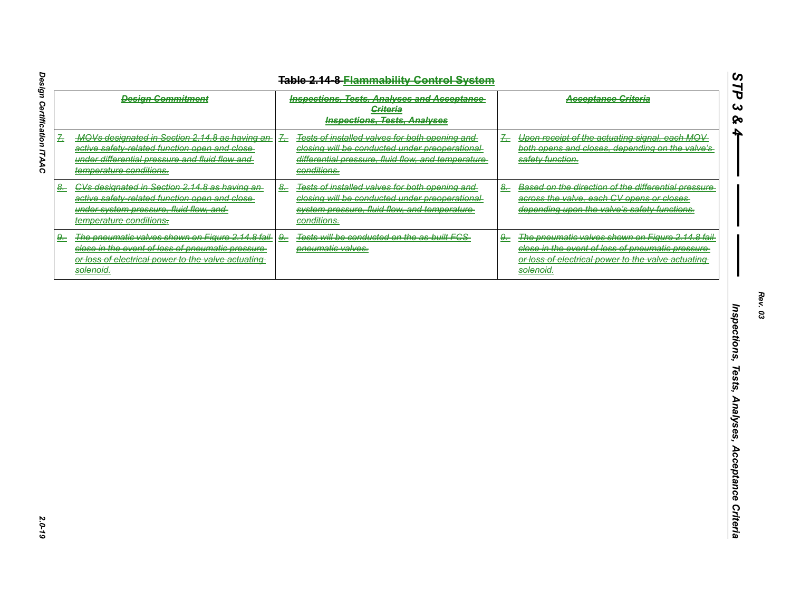| <b>Design Commitment</b>                                                                                                                                                            | <b>Inspections, Tests, Analyses and Acceptance</b><br><b>Criteria</b><br><b>Inspections, Tests, Analyses</b>                                                                            | <b>Acceptance Criteria</b>                                                                                                                                                                 |
|-------------------------------------------------------------------------------------------------------------------------------------------------------------------------------------|-----------------------------------------------------------------------------------------------------------------------------------------------------------------------------------------|--------------------------------------------------------------------------------------------------------------------------------------------------------------------------------------------|
| MOVs designated in Section 2.14.8 as having an-<br>丢<br>active safety-related function open and close-<br>under differential pressure and fluid flow and<br>temperature conditions. | Tests of installed valves for both opening and<br>$\frac{7}{2}$<br>closing will be conducted under preoperational<br>differential pressure, fluid flow, and temperature-<br>conditions. | Upon receipt of the actuating signal, each MOV-<br>$\frac{1}{2}$<br>both opens and closes, depending on the valve's<br>safety function.                                                    |
| 8. CVs designated in Section 2.14.8 as having an-<br>active safety-related function open and close-<br>under system pressure, fluid flow, and<br>temperature conditions.            | $\frac{8}{2}$<br>Tests of installed valves for both opening and<br>closing will be conducted under preoperational<br>system pressure, fluid flow, and temperature-<br>conditions.       | Based on the direction of the differential pressure<br>$\frac{8}{2}$<br>across the valve, each CV opens or closes<br>depending upon the valve's safety functions.                          |
| The pneumatic valves shown on Figure 2.14.8 fail<br>$9 -$<br>close in the event of loss of pneumatic pressure<br>or loss of electrical power to the valve actuating<br>solenoid.    | Tests will be conducted on the as-built FCS<br>$\frac{9}{2}$<br>pneumatic valves.                                                                                                       | The pneumatic valves shown on Figure 2.14.8 fail-<br>$\frac{9}{2}$<br>close in the event of loss of pneumatic pressure-<br>or loss of electrical power to the valve actuating<br>solenoid. |
|                                                                                                                                                                                     |                                                                                                                                                                                         |                                                                                                                                                                                            |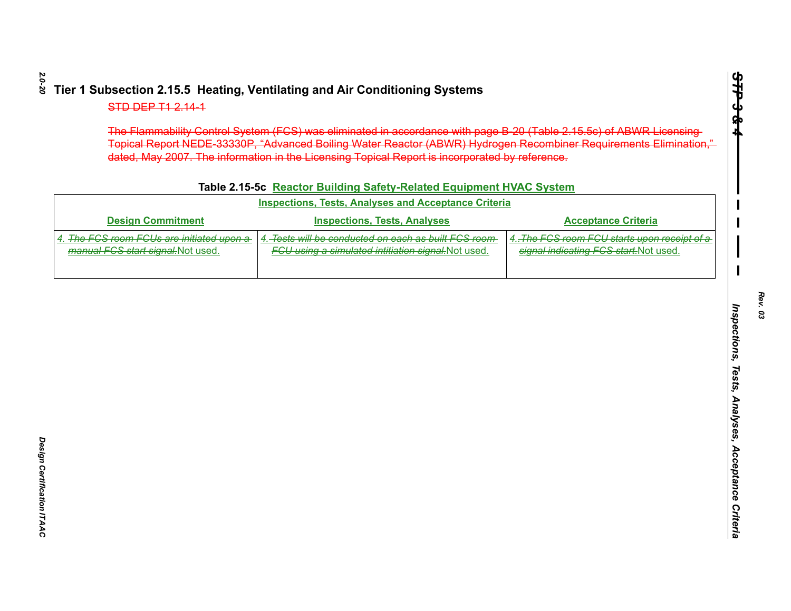|  |  | Table 2.15-5c Reactor Building Safety-Related Equipment HVAC System |
|--|--|---------------------------------------------------------------------|
|  |  |                                                                     |

| The Flammability Control System (FCS) was eliminated in accordance with page B 20 (Table 2.15.5c) of ABWR Licensing-<br>Topical Report NEDE 33330P, "Advanced Boiling Water Reactor (ABWR) Hydrogen Recombiner Requirements Elimination,"<br>dated, May 2007. The information in the Licensing Topical Report is incorporated by reference.<br>Table 2.15-5c Reactor Building Safety-Related Equipment HVAC System |                                                                                                              |                                                                                        |  |  |
|--------------------------------------------------------------------------------------------------------------------------------------------------------------------------------------------------------------------------------------------------------------------------------------------------------------------------------------------------------------------------------------------------------------------|--------------------------------------------------------------------------------------------------------------|----------------------------------------------------------------------------------------|--|--|
|                                                                                                                                                                                                                                                                                                                                                                                                                    | <b>Inspections, Tests, Analyses and Acceptance Criteria</b>                                                  |                                                                                        |  |  |
| <b>Design Commitment</b>                                                                                                                                                                                                                                                                                                                                                                                           | <b>Inspections, Tests, Analyses</b>                                                                          | <b>Acceptance Criteria</b>                                                             |  |  |
| The FCS room FCUs are initiated upon a<br>manual FCS start signal. Not used.                                                                                                                                                                                                                                                                                                                                       | 4. Tests will be conducted on each as built FCS room-<br>FCU using a simulated intitiation signal. Not used. | 4. The FCS room FCU starts upon receipt of a<br>signal indicating FCS start. Not used. |  |  |
|                                                                                                                                                                                                                                                                                                                                                                                                                    |                                                                                                              |                                                                                        |  |  |
|                                                                                                                                                                                                                                                                                                                                                                                                                    |                                                                                                              |                                                                                        |  |  |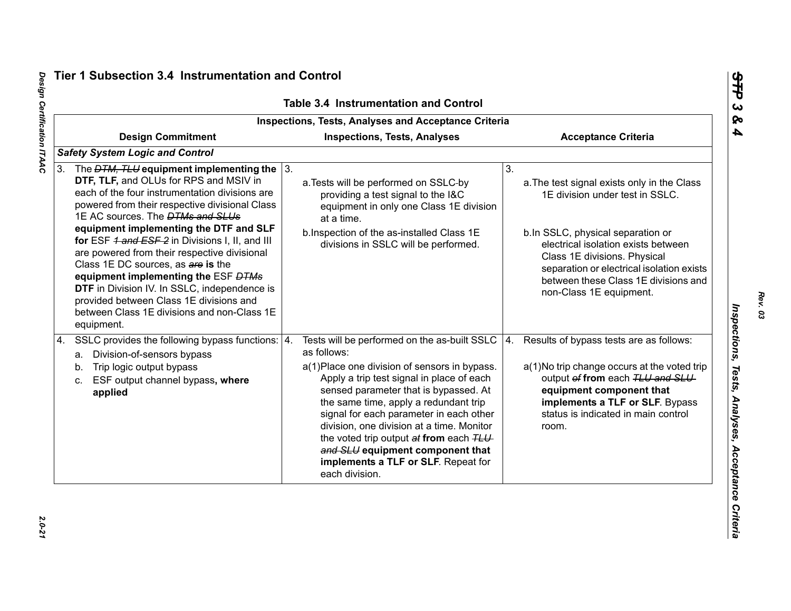|                                                                                                                                                                                                                                                                                                                                                                                                                                                                                                                                                                                                                                       | <b>Table 3.4 Instrumentation and Control</b><br><b>Inspections, Tests, Analyses and Acceptance Criteria</b>                                                                                                                                                                                                                                                                                                                                                                |                                                                                                                                                                                                                                                                                                                  |
|---------------------------------------------------------------------------------------------------------------------------------------------------------------------------------------------------------------------------------------------------------------------------------------------------------------------------------------------------------------------------------------------------------------------------------------------------------------------------------------------------------------------------------------------------------------------------------------------------------------------------------------|----------------------------------------------------------------------------------------------------------------------------------------------------------------------------------------------------------------------------------------------------------------------------------------------------------------------------------------------------------------------------------------------------------------------------------------------------------------------------|------------------------------------------------------------------------------------------------------------------------------------------------------------------------------------------------------------------------------------------------------------------------------------------------------------------|
| <b>Design Commitment</b>                                                                                                                                                                                                                                                                                                                                                                                                                                                                                                                                                                                                              | <b>Inspections, Tests, Analyses</b>                                                                                                                                                                                                                                                                                                                                                                                                                                        | <b>Acceptance Criteria</b>                                                                                                                                                                                                                                                                                       |
| <b>Safety System Logic and Control</b>                                                                                                                                                                                                                                                                                                                                                                                                                                                                                                                                                                                                |                                                                                                                                                                                                                                                                                                                                                                                                                                                                            |                                                                                                                                                                                                                                                                                                                  |
| 3. The $DTM$ , TLU equipment implementing the $\sqrt{3}$ .<br>DTF, TLF, and OLUs for RPS and MSIV in<br>each of the four instrumentation divisions are<br>powered from their respective divisional Class<br>1E AC sources. The <b>DTMs and SLUs</b><br>equipment implementing the DTF and SLF<br>for ESF 1 and ESF 2 in Divisions I, II, and III<br>are powered from their respective divisional<br>Class 1E DC sources, as are is the<br>equipment implementing the ESF DTMs<br>DTF in Division IV. In SSLC, independence is<br>provided between Class 1E divisions and<br>between Class 1E divisions and non-Class 1E<br>equipment. | a. Tests will be performed on SSLC-by<br>providing a test signal to the I&C<br>equipment in only one Class 1E division<br>at a time.<br>b.Inspection of the as-installed Class 1E<br>divisions in SSLC will be performed.                                                                                                                                                                                                                                                  | 3.<br>a. The test signal exists only in the Class<br>1E division under test in SSLC.<br>b.In SSLC, physical separation or<br>electrical isolation exists between<br>Class 1E divisions. Physical<br>separation or electrical isolation exists<br>between these Class 1E divisions and<br>non-Class 1E equipment. |
| SSLC provides the following bypass functions:   4.<br>4.<br>a. Division-of-sensors bypass<br>Trip logic output bypass<br>b.<br>ESF output channel bypass, where<br>C.<br>applied                                                                                                                                                                                                                                                                                                                                                                                                                                                      | Tests will be performed on the as-built SSLC<br>as follows:<br>a(1) Place one division of sensors in bypass.<br>Apply a trip test signal in place of each<br>sensed parameter that is bypassed. At<br>the same time, apply a redundant trip<br>signal for each parameter in each other<br>division, one division at a time. Monitor<br>the voted trip output at from each TLU<br>and SLU equipment component that<br>implements a TLF or SLF. Repeat for<br>each division. | Results of bypass tests are as follows:<br>4.<br>a(1) No trip change occurs at the voted trip<br>output of from each TLU and SLU<br>equipment component that<br>implements a TLF or SLF. Bypass<br>status is indicated in main control<br>room.                                                                  |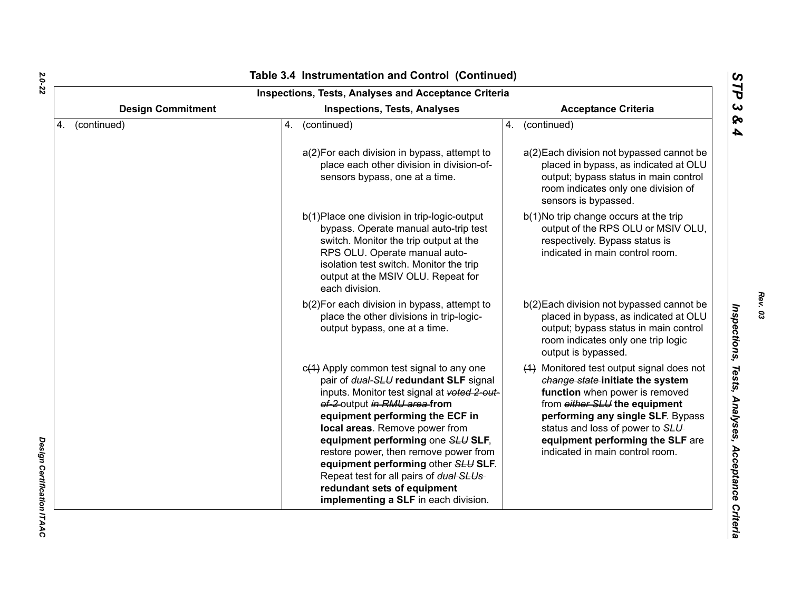| <b>Inspections, Tests, Analyses and Acceptance Criteria</b> |                                                                                                                                                                                                                                                                                                                                                                                                                                                                                |                                                                                                                                                                                                                                                                                                 |  |  |
|-------------------------------------------------------------|--------------------------------------------------------------------------------------------------------------------------------------------------------------------------------------------------------------------------------------------------------------------------------------------------------------------------------------------------------------------------------------------------------------------------------------------------------------------------------|-------------------------------------------------------------------------------------------------------------------------------------------------------------------------------------------------------------------------------------------------------------------------------------------------|--|--|
| <b>Design Commitment</b>                                    | <b>Inspections, Tests, Analyses</b>                                                                                                                                                                                                                                                                                                                                                                                                                                            |                                                                                                                                                                                                                                                                                                 |  |  |
| 4. (continued)                                              | (continued)<br>4.                                                                                                                                                                                                                                                                                                                                                                                                                                                              | (continued)<br>4.                                                                                                                                                                                                                                                                               |  |  |
|                                                             | a(2) For each division in bypass, attempt to<br>place each other division in division-of-<br>sensors bypass, one at a time.                                                                                                                                                                                                                                                                                                                                                    | a(2) Each division not bypassed cannot be<br>placed in bypass, as indicated at OLU<br>output; bypass status in main control<br>room indicates only one division of<br>sensors is bypassed.                                                                                                      |  |  |
|                                                             | b(1) Place one division in trip-logic-output<br>bypass. Operate manual auto-trip test<br>switch. Monitor the trip output at the<br>RPS OLU. Operate manual auto-<br>isolation test switch. Monitor the trip<br>output at the MSIV OLU. Repeat for<br>each division.                                                                                                                                                                                                            | b(1)No trip change occurs at the trip<br>output of the RPS OLU or MSIV OLU,<br>respectively. Bypass status is<br>indicated in main control room.                                                                                                                                                |  |  |
|                                                             | b(2) For each division in bypass, attempt to<br>place the other divisions in trip-logic-<br>output bypass, one at a time.                                                                                                                                                                                                                                                                                                                                                      | b(2) Each division not bypassed cannot be<br>placed in bypass, as indicated at OLU<br>output; bypass status in main control<br>room indicates only one trip logic<br>output is bypassed.                                                                                                        |  |  |
|                                                             | $c(1)$ Apply common test signal to any one<br>pair of dual-SLU redundant SLF signal<br>inputs. Monitor test signal at voted 2-out-<br>of-2-output in RMU area-from<br>equipment performing the ECF in<br>local areas. Remove power from<br>equipment performing one SLU SLF,<br>restore power, then remove power from<br>equipment performing other SLU SLF.<br>Repeat test for all pairs of dual SLUs-<br>redundant sets of equipment<br>implementing a SLF in each division. | (1) Monitored test output signal does not<br>change state-initiate the system<br>function when power is removed<br>from either SLU the equipment<br>performing any single SLF. Bypass<br>status and loss of power to SLU<br>equipment performing the SLF are<br>indicated in main control room. |  |  |

Design Certification ITAAC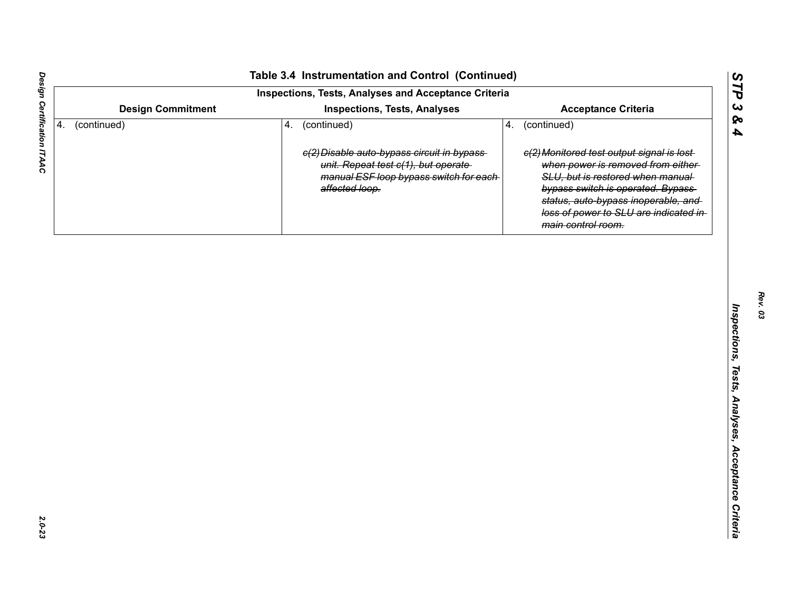| Inspections, Tests, Analyses and Acceptance Criteria |                          |    |                                                                                                   |    |                                                                                                                                                                              |
|------------------------------------------------------|--------------------------|----|---------------------------------------------------------------------------------------------------|----|------------------------------------------------------------------------------------------------------------------------------------------------------------------------------|
|                                                      | <b>Design Commitment</b> |    | <b>Inspections, Tests, Analyses</b>                                                               |    | <b>Acceptance Criteria</b>                                                                                                                                                   |
| 4.                                                   | (continued)              | 4. | (continued)<br>e(2) Disable auto-bypass circuit in bypass-<br>unit. Repeat test c(1), but operate | 4. | (continued)<br>e(2) Monitored test output signal is lost-<br>when power is removed from either-                                                                              |
|                                                      |                          |    | manual ESF loop bypass switch for each-<br>affected loop.                                         |    | SLU, but is restored when manual<br>bypass switch is operated. Bypass<br>status, auto-bypass inoperable, and<br>loss of power to SLU are indicated in-<br>main control room. |
|                                                      |                          |    |                                                                                                   |    |                                                                                                                                                                              |
|                                                      |                          |    |                                                                                                   |    |                                                                                                                                                                              |
|                                                      |                          |    |                                                                                                   |    |                                                                                                                                                                              |
|                                                      |                          |    |                                                                                                   |    |                                                                                                                                                                              |
|                                                      |                          |    |                                                                                                   |    |                                                                                                                                                                              |
|                                                      |                          |    |                                                                                                   |    |                                                                                                                                                                              |
|                                                      |                          |    |                                                                                                   |    |                                                                                                                                                                              |
|                                                      |                          |    |                                                                                                   |    |                                                                                                                                                                              |
|                                                      |                          |    |                                                                                                   |    |                                                                                                                                                                              |
|                                                      |                          |    |                                                                                                   |    |                                                                                                                                                                              |
|                                                      |                          |    |                                                                                                   |    |                                                                                                                                                                              |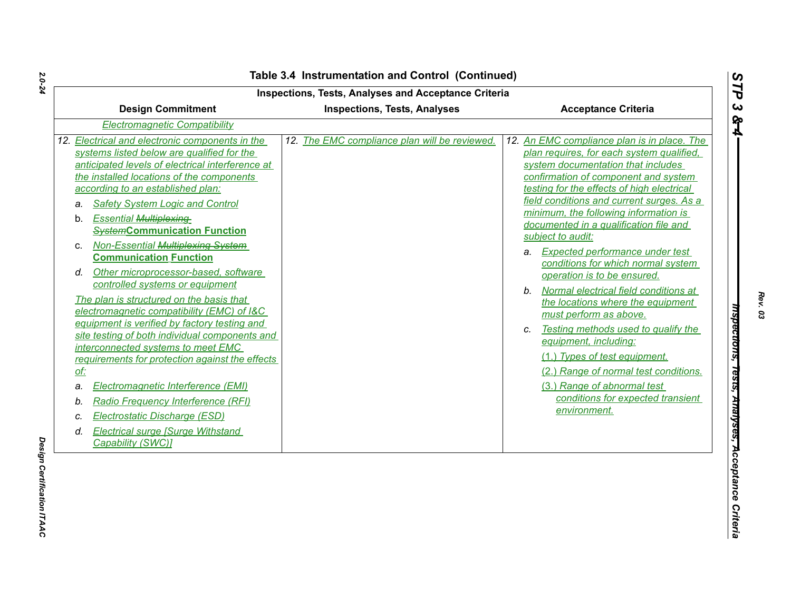| <b>Inspections, Tests, Analyses and Acceptance Criteria</b><br><b>Design Commitment</b><br><b>Inspections, Tests, Analyses</b><br><b>Acceptance Criteria</b>                                                                                                                                                                                                                                                                                                                                                                                                                                                                                                                                                                                                                                                                                                                                                                                                                                                                      |                                               |                                                                                                                                                                                                                                                                                                                                                                                                                                                                                                                                                                                                                                                                                                                                                                                                                                                          |  |
|-----------------------------------------------------------------------------------------------------------------------------------------------------------------------------------------------------------------------------------------------------------------------------------------------------------------------------------------------------------------------------------------------------------------------------------------------------------------------------------------------------------------------------------------------------------------------------------------------------------------------------------------------------------------------------------------------------------------------------------------------------------------------------------------------------------------------------------------------------------------------------------------------------------------------------------------------------------------------------------------------------------------------------------|-----------------------------------------------|----------------------------------------------------------------------------------------------------------------------------------------------------------------------------------------------------------------------------------------------------------------------------------------------------------------------------------------------------------------------------------------------------------------------------------------------------------------------------------------------------------------------------------------------------------------------------------------------------------------------------------------------------------------------------------------------------------------------------------------------------------------------------------------------------------------------------------------------------------|--|
| <b>Electromagnetic Compatibility</b>                                                                                                                                                                                                                                                                                                                                                                                                                                                                                                                                                                                                                                                                                                                                                                                                                                                                                                                                                                                              |                                               |                                                                                                                                                                                                                                                                                                                                                                                                                                                                                                                                                                                                                                                                                                                                                                                                                                                          |  |
| 12. Electrical and electronic components in the<br>systems listed below are qualified for the<br>anticipated levels of electrical interference at<br>the installed locations of the components<br>according to an established plan:<br><b>Safety System Logic and Control</b><br>a.<br><b>Essential Multiplexing-</b><br>b.<br><b>SystemCommunication Function</b><br>Non-Essential Multiplexing-System<br>C.<br><b>Communication Function</b><br>Other microprocessor-based, software<br>d.<br>controlled systems or equipment<br>The plan is structured on the basis that<br>electromagnetic compatibility (EMC) of I&C<br>equipment is verified by factory testing and<br>site testing of both individual components and<br>interconnected systems to meet EMC<br>requirements for protection against the effects<br>of:<br>Electromagnetic Interference (EMI)<br>a.<br>Radio Frequency Interference (RFI)<br>b.<br>Electrostatic Discharge (ESD)<br>C.<br><b>Electrical surge [Surge Withstand</b><br>d.<br>Capability (SWC)] | 12. The EMC compliance plan will be reviewed. | 12. An EMC compliance plan is in place. The<br>plan requires, for each system qualified,<br>system documentation that includes<br>confirmation of component and system<br>testing for the effects of high electrical<br>field conditions and current surges. As a<br>minimum, the following information is<br>documented in a qualification file and<br>subject to audit:<br>a. Expected performance under test<br>conditions for which normal system<br>operation is to be ensured.<br>Normal electrical field conditions at<br>$b_{-}$<br>the locations where the equipment<br>must perform as above.<br>Testing methods used to qualify the<br>$\mathcal{C}$ .<br>equipment, including:<br>(1.) Types of test equipment.<br>(2.) Range of normal test conditions.<br>(3.) Range of abnormal test<br>conditions for expected transient<br>environment. |  |